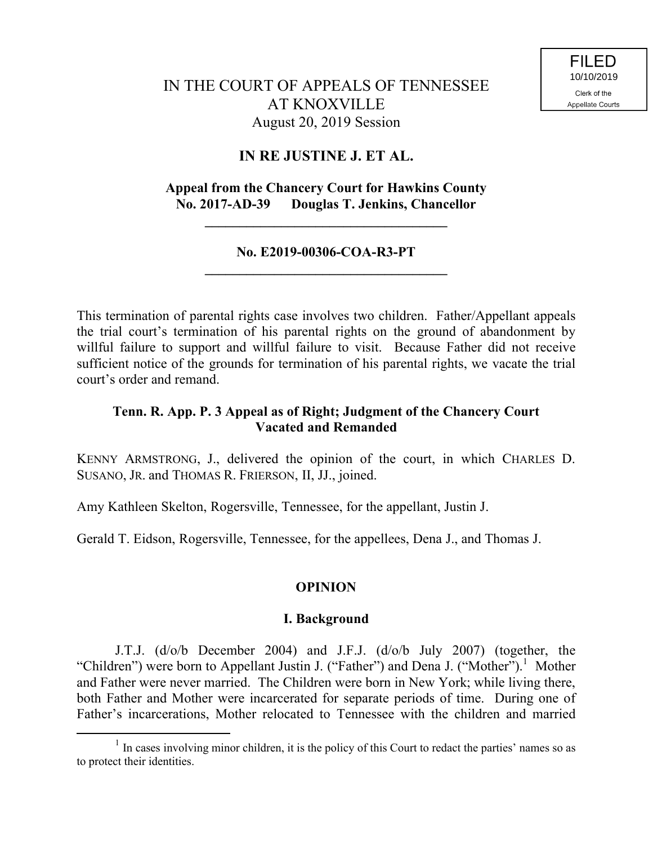# IN THE COURT OF APPEALS OF TENNESSEE AT KNOXVILLE August 20, 2019 Session

## **IN RE JUSTINE J. ET AL.**

### **Appeal from the Chancery Court for Hawkins County No. 2017-AD-39 Douglas T. Jenkins, Chancellor**

**\_\_\_\_\_\_\_\_\_\_\_\_\_\_\_\_\_\_\_\_\_\_\_\_\_\_\_\_\_\_\_\_\_\_\_**

### **No. E2019-00306-COA-R3-PT \_\_\_\_\_\_\_\_\_\_\_\_\_\_\_\_\_\_\_\_\_\_\_\_\_\_\_\_\_\_\_\_\_\_\_**

This termination of parental rights case involves two children. Father/Appellant appeals the trial court's termination of his parental rights on the ground of abandonment by willful failure to support and willful failure to visit. Because Father did not receive sufficient notice of the grounds for termination of his parental rights, we vacate the trial court's order and remand.

### **Tenn. R. App. P. 3 Appeal as of Right; Judgment of the Chancery Court Vacated and Remanded**

KENNY ARMSTRONG, J., delivered the opinion of the court, in which CHARLES D. SUSANO, JR. and THOMAS R. FRIERSON, II, JJ., joined.

Amy Kathleen Skelton, Rogersville, Tennessee, for the appellant, Justin J.

Gerald T. Eidson, Rogersville, Tennessee, for the appellees, Dena J., and Thomas J.

### **OPINION**

### **I. Background**

J.T.J. (d/o/b December 2004) and J.F.J. (d/o/b July 2007) (together, the "Children") were born to Appellant Justin J. ("Father") and Dena J. ("Mother").<sup>1</sup> Mother and Father were never married. The Children were born in New York; while living there, both Father and Mother were incarcerated for separate periods of time. During one of Father's incarcerations, Mother relocated to Tennessee with the children and married

<sup>&</sup>lt;sup>1</sup> In cases involving minor children, it is the policy of this Court to redact the parties' names so as to protect their identities.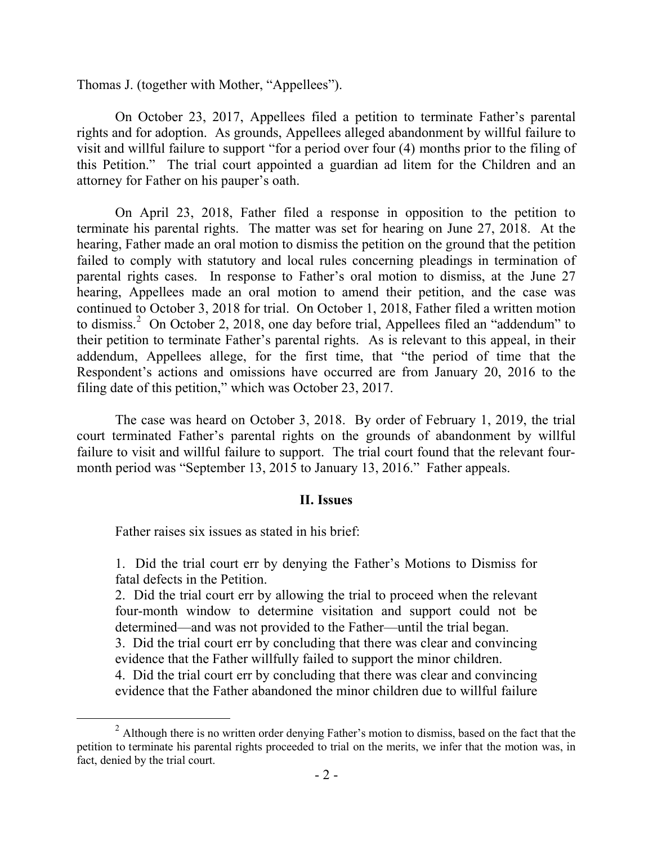Thomas J. (together with Mother, "Appellees").

On October 23, 2017, Appellees filed a petition to terminate Father's parental rights and for adoption. As grounds, Appellees alleged abandonment by willful failure to visit and willful failure to support "for a period over four (4) months prior to the filing of this Petition." The trial court appointed a guardian ad litem for the Children and an attorney for Father on his pauper's oath.

On April 23, 2018, Father filed a response in opposition to the petition to terminate his parental rights. The matter was set for hearing on June 27, 2018. At the hearing, Father made an oral motion to dismiss the petition on the ground that the petition failed to comply with statutory and local rules concerning pleadings in termination of parental rights cases. In response to Father's oral motion to dismiss, at the June 27 hearing, Appellees made an oral motion to amend their petition, and the case was continued to October 3, 2018 for trial. On October 1, 2018, Father filed a written motion to dismiss.<sup>2</sup> On October 2, 2018, one day before trial, Appellees filed an "addendum" to their petition to terminate Father's parental rights. As is relevant to this appeal, in their addendum, Appellees allege, for the first time, that "the period of time that the Respondent's actions and omissions have occurred are from January 20, 2016 to the filing date of this petition," which was October 23, 2017.

The case was heard on October 3, 2018. By order of February 1, 2019, the trial court terminated Father's parental rights on the grounds of abandonment by willful failure to visit and willful failure to support. The trial court found that the relevant fourmonth period was "September 13, 2015 to January 13, 2016." Father appeals.

#### **II. Issues**

Father raises six issues as stated in his brief:

 $\overline{a}$ 

1. Did the trial court err by denying the Father's Motions to Dismiss for fatal defects in the Petition.

2. Did the trial court err by allowing the trial to proceed when the relevant four-month window to determine visitation and support could not be determined—and was not provided to the Father—until the trial began.

3. Did the trial court err by concluding that there was clear and convincing evidence that the Father willfully failed to support the minor children.

4. Did the trial court err by concluding that there was clear and convincing evidence that the Father abandoned the minor children due to willful failure

<sup>&</sup>lt;sup>2</sup> Although there is no written order denying Father's motion to dismiss, based on the fact that the petition to terminate his parental rights proceeded to trial on the merits, we infer that the motion was, in fact, denied by the trial court.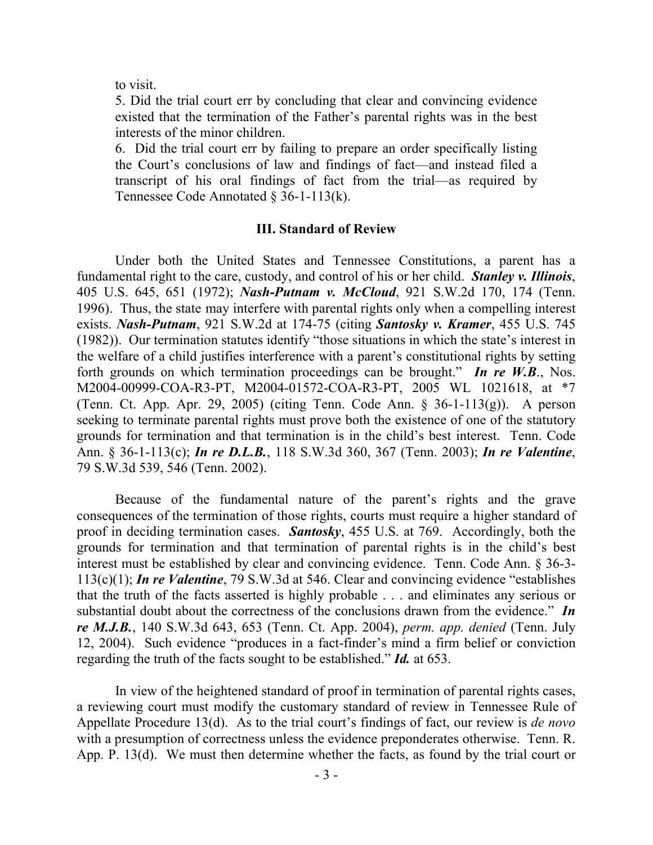to visit.

5. Did the trial court err by concluding that clear and convincing evidence existed that the termination of the Father's parental rights was in the best interests of the minor children.

6. Did the trial court err by failing to prepare an order specifically listing the Court's conclusions of law and findings of fact—and instead filed a transcript of his oral findings of fact from the trial—as required by Tennessee Code Annotated § 36-1-113(k).

#### **III. Standard of Review**

Under both the United States and Tennessee Constitutions, a parent has a fundamental right to the care, custody, and control of his or her child. *Stanley v. Illinois*, 405 U.S. 645, 651 (1972); *Nash-Putnam v. McCloud*, 921 S.W.2d 170, 174 (Tenn. 1996). Thus, the state may interfere with parental rights only when a compelling interest exists. *Nash-Putnam*, 921 S.W.2d at 174-75 (citing *Santosky v. Kramer*, 455 U.S. 745 (1982)). Our termination statutes identify "those situations in which the state's interest in the welfare of a child justifies interference with a parent's constitutional rights by setting forth grounds on which termination proceedings can be brought." *In re W.B*., Nos. M2004-00999-COA-R3-PT, M2004-01572-COA-R3-PT, 2005 WL 1021618, at \*7 (Tenn. Ct. App. Apr. 29, 2005) (citing Tenn. Code Ann. § 36-1-113(g)). A person seeking to terminate parental rights must prove both the existence of one of the statutory grounds for termination and that termination is in the child's best interest. Tenn. Code Ann. § 36-1-113(c); *In re D.L.B.*, 118 S.W.3d 360, 367 (Tenn. 2003); *In re Valentine*, 79 S.W.3d 539, 546 (Tenn. 2002).

Because of the fundamental nature of the parent's rights and the grave consequences of the termination of those rights, courts must require a higher standard of proof in deciding termination cases. *Santosky*, 455 U.S. at 769. Accordingly, both the grounds for termination and that termination of parental rights is in the child's best interest must be established by clear and convincing evidence. Tenn. Code Ann. § 36-3- 113(c)(1); *In re Valentine*, 79 S.W.3d at 546. Clear and convincing evidence "establishes that the truth of the facts asserted is highly probable . . . and eliminates any serious or substantial doubt about the correctness of the conclusions drawn from the evidence." *In re M.J.B.*, 140 S.W.3d 643, 653 (Tenn. Ct. App. 2004), *perm. app. denied* (Tenn. July 12, 2004). Such evidence "produces in a fact-finder's mind a firm belief or conviction regarding the truth of the facts sought to be established." *Id.* at 653.

In view of the heightened standard of proof in termination of parental rights cases, a reviewing court must modify the customary standard of review in Tennessee Rule of Appellate Procedure 13(d). As to the trial court's findings of fact, our review is *de novo* with a presumption of correctness unless the evidence preponderates otherwise. Tenn. R. App. P. 13(d). We must then determine whether the facts, as found by the trial court or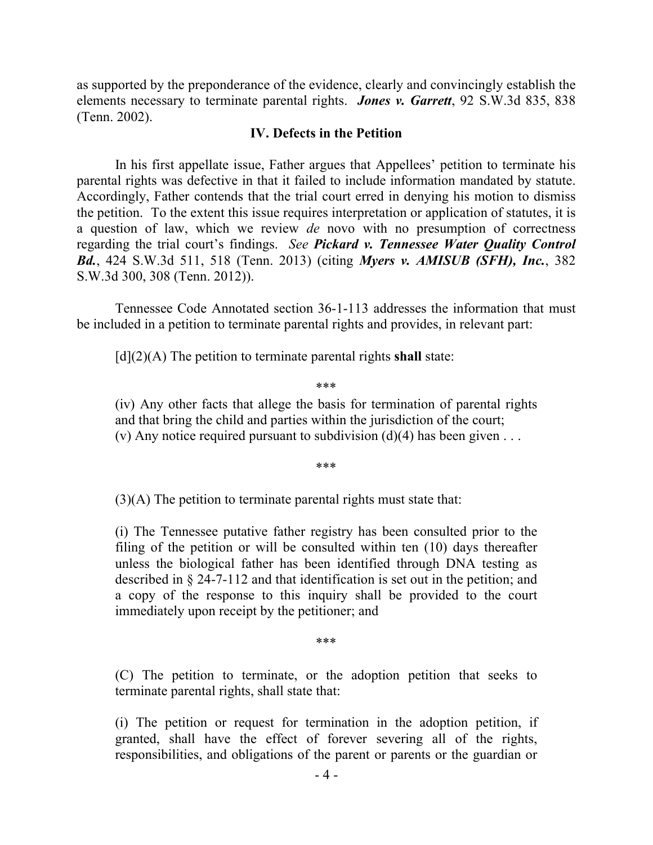as supported by the preponderance of the evidence, clearly and convincingly establish the elements necessary to terminate parental rights. *Jones v. Garrett*, 92 S.W.3d 835, 838 (Tenn. 2002).

#### **IV. Defects in the Petition**

In his first appellate issue, Father argues that Appellees' petition to terminate his parental rights was defective in that it failed to include information mandated by statute. Accordingly, Father contends that the trial court erred in denying his motion to dismiss the petition. To the extent this issue requires interpretation or application of statutes, it is a question of law, which we review *de* novo with no presumption of correctness regarding the trial court's findings. *See Pickard v. Tennessee Water Quality Control Bd.*, 424 S.W.3d 511, 518 (Tenn. 2013) (citing *Myers v. AMISUB (SFH), Inc.*, 382 S.W.3d 300, 308 (Tenn. 2012)).

Tennessee Code Annotated section 36-1-113 addresses the information that must be included in a petition to terminate parental rights and provides, in relevant part:

[d](2)(A) The petition to terminate parental rights **shall** state:

\*\*\*

(iv) Any other facts that allege the basis for termination of parental rights and that bring the child and parties within the jurisdiction of the court; (v) Any notice required pursuant to subdivision (d)(4) has been given  $\dots$ 

\*\*\*

(3)(A) The petition to terminate parental rights must state that:

(i) The Tennessee putative father registry has been consulted prior to the filing of the petition or will be consulted within ten (10) days thereafter unless the biological father has been identified through DNA testing as described in § 24-7-112 and that identification is set out in the petition; and a copy of the response to this inquiry shall be provided to the court immediately upon receipt by the petitioner; and

\*\*\*

(C) The petition to terminate, or the adoption petition that seeks to terminate parental rights, shall state that:

(i) The petition or request for termination in the adoption petition, if granted, shall have the effect of forever severing all of the rights, responsibilities, and obligations of the parent or parents or the guardian or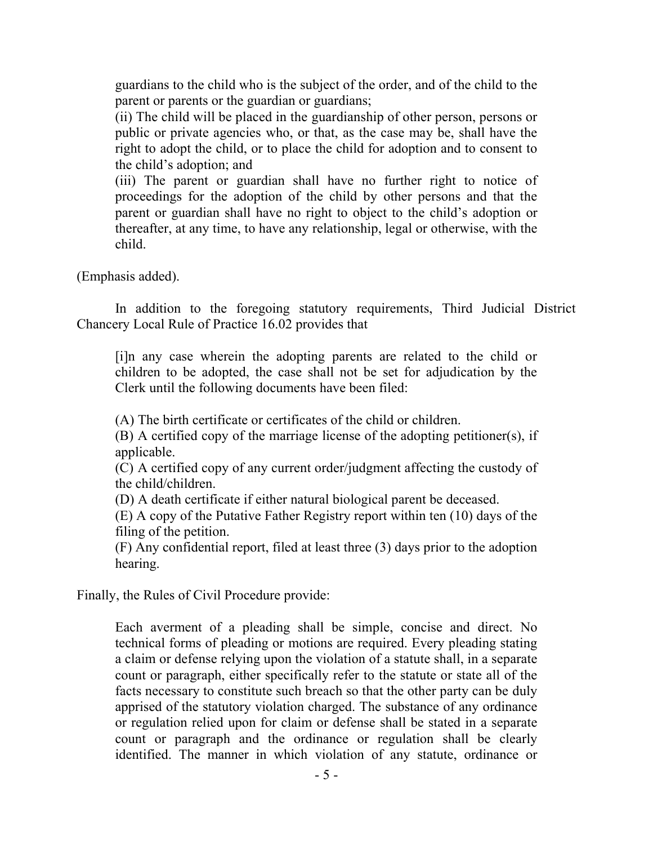guardians to the child who is the subject of the order, and of the child to the parent or parents or the guardian or guardians;

(ii) The child will be placed in the guardianship of other person, persons or public or private agencies who, or that, as the case may be, shall have the right to adopt the child, or to place the child for adoption and to consent to the child's adoption; and

(iii) The parent or guardian shall have no further right to notice of proceedings for the adoption of the child by other persons and that the parent or guardian shall have no right to object to the child's adoption or thereafter, at any time, to have any relationship, legal or otherwise, with the child.

(Emphasis added).

In addition to the foregoing statutory requirements, Third Judicial District Chancery Local Rule of Practice 16.02 provides that

[i]n any case wherein the adopting parents are related to the child or children to be adopted, the case shall not be set for adjudication by the Clerk until the following documents have been filed:

(A) The birth certificate or certificates of the child or children.

(B) A certified copy of the marriage license of the adopting petitioner(s), if applicable.

(C) A certified copy of any current order/judgment affecting the custody of the child/children.

(D) A death certificate if either natural biological parent be deceased.

(E) A copy of the Putative Father Registry report within ten (10) days of the filing of the petition.

(F) Any confidential report, filed at least three (3) days prior to the adoption hearing.

Finally, the Rules of Civil Procedure provide:

Each averment of a pleading shall be simple, concise and direct. No technical forms of pleading or motions are required. Every pleading stating a claim or defense relying upon the violation of a statute shall, in a separate count or paragraph, either specifically refer to the statute or state all of the facts necessary to constitute such breach so that the other party can be duly apprised of the statutory violation charged. The substance of any ordinance or regulation relied upon for claim or defense shall be stated in a separate count or paragraph and the ordinance or regulation shall be clearly identified. The manner in which violation of any statute, ordinance or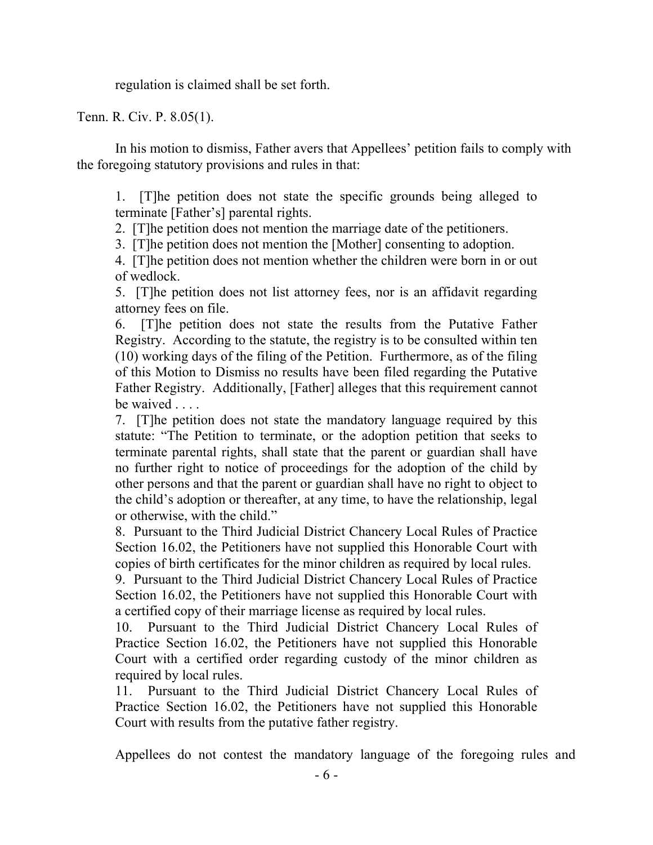regulation is claimed shall be set forth.

Tenn. R. Civ. P. 8.05(1).

In his motion to dismiss, Father avers that Appellees' petition fails to comply with the foregoing statutory provisions and rules in that:

1. [T]he petition does not state the specific grounds being alleged to terminate [Father's] parental rights.

2. [T]he petition does not mention the marriage date of the petitioners.

3. [T]he petition does not mention the [Mother] consenting to adoption.

4. [T]he petition does not mention whether the children were born in or out of wedlock.

5. [T]he petition does not list attorney fees, nor is an affidavit regarding attorney fees on file.

6. [T]he petition does not state the results from the Putative Father Registry. According to the statute, the registry is to be consulted within ten (10) working days of the filing of the Petition. Furthermore, as of the filing of this Motion to Dismiss no results have been filed regarding the Putative Father Registry. Additionally, [Father] alleges that this requirement cannot be waived . . . .

7. [T]he petition does not state the mandatory language required by this statute: "The Petition to terminate, or the adoption petition that seeks to terminate parental rights, shall state that the parent or guardian shall have no further right to notice of proceedings for the adoption of the child by other persons and that the parent or guardian shall have no right to object to the child's adoption or thereafter, at any time, to have the relationship, legal or otherwise, with the child."

8. Pursuant to the Third Judicial District Chancery Local Rules of Practice Section 16.02, the Petitioners have not supplied this Honorable Court with copies of birth certificates for the minor children as required by local rules.

9. Pursuant to the Third Judicial District Chancery Local Rules of Practice Section 16.02, the Petitioners have not supplied this Honorable Court with a certified copy of their marriage license as required by local rules.

10. Pursuant to the Third Judicial District Chancery Local Rules of Practice Section 16.02, the Petitioners have not supplied this Honorable Court with a certified order regarding custody of the minor children as required by local rules.

11. Pursuant to the Third Judicial District Chancery Local Rules of Practice Section 16.02, the Petitioners have not supplied this Honorable Court with results from the putative father registry.

Appellees do not contest the mandatory language of the foregoing rules and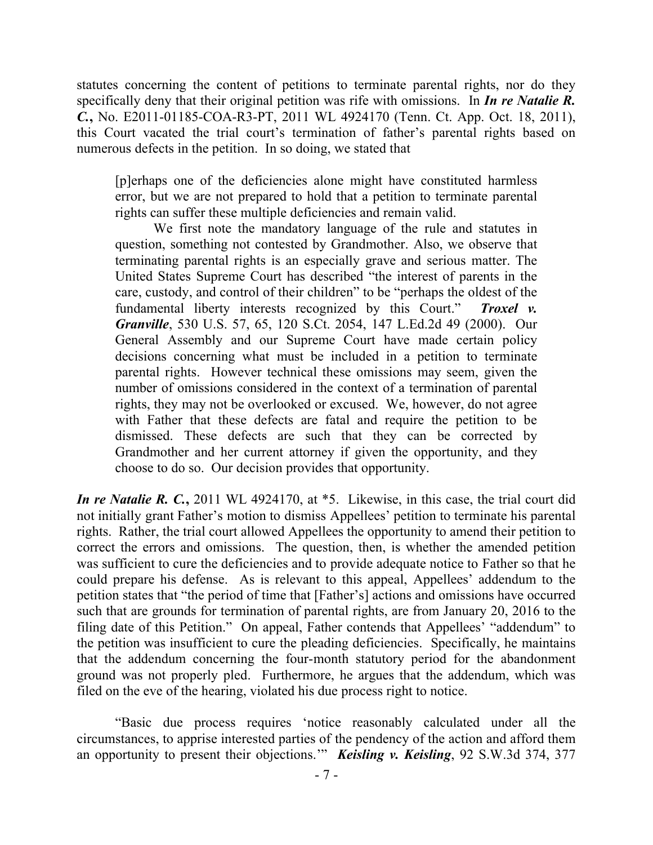statutes concerning the content of petitions to terminate parental rights, nor do they specifically deny that their original petition was rife with omissions. In *In re Natalie R. C.***,** No. E2011-01185-COA-R3-PT, 2011 WL 4924170 (Tenn. Ct. App. Oct. 18, 2011), this Court vacated the trial court's termination of father's parental rights based on numerous defects in the petition. In so doing, we stated that

[p]erhaps one of the deficiencies alone might have constituted harmless error, but we are not prepared to hold that a petition to terminate parental rights can suffer these multiple deficiencies and remain valid.

We first note the mandatory language of the rule and statutes in question, something not contested by Grandmother. Also, we observe that terminating parental rights is an especially grave and serious matter. The United States Supreme Court has described "the interest of parents in the care, custody, and control of their children" to be "perhaps the oldest of the fundamental liberty interests recognized by this Court." *Troxel v. Granville*, 530 U.S. 57, 65, 120 S.Ct. 2054, 147 L.Ed.2d 49 (2000). Our General Assembly and our Supreme Court have made certain policy decisions concerning what must be included in a petition to terminate parental rights. However technical these omissions may seem, given the number of omissions considered in the context of a termination of parental rights, they may not be overlooked or excused. We, however, do not agree with Father that these defects are fatal and require the petition to be dismissed. These defects are such that they can be corrected by Grandmother and her current attorney if given the opportunity, and they choose to do so. Our decision provides that opportunity.

*In re Natalie R. C.*, 2011 WL 4924170, at \*5. Likewise, in this case, the trial court did not initially grant Father's motion to dismiss Appellees' petition to terminate his parental rights. Rather, the trial court allowed Appellees the opportunity to amend their petition to correct the errors and omissions. The question, then, is whether the amended petition was sufficient to cure the deficiencies and to provide adequate notice to Father so that he could prepare his defense. As is relevant to this appeal, Appellees' addendum to the petition states that "the period of time that [Father's] actions and omissions have occurred such that are grounds for termination of parental rights, are from January 20, 2016 to the filing date of this Petition." On appeal, Father contends that Appellees' "addendum" to the petition was insufficient to cure the pleading deficiencies. Specifically, he maintains that the addendum concerning the four-month statutory period for the abandonment ground was not properly pled. Furthermore, he argues that the addendum, which was filed on the eve of the hearing, violated his due process right to notice.

"Basic due process requires 'notice reasonably calculated under all the circumstances, to apprise interested parties of the pendency of the action and afford them an opportunity to present their objections.'" *Keisling v. Keisling*, 92 S.W.3d 374, 377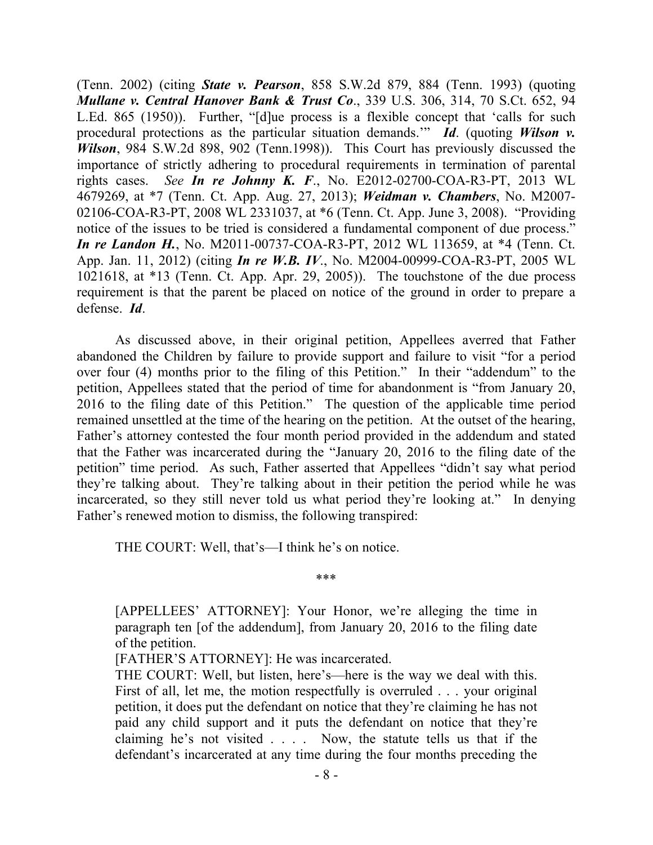(Tenn. 2002) (citing *State v. Pearson*, 858 S.W.2d 879, 884 (Tenn. 1993) (quoting *Mullane v. Central Hanover Bank & Trust Co*., 339 U.S. 306, 314, 70 S.Ct. 652, 94 L.Ed. 865 (1950)). Further, "[d]ue process is a flexible concept that 'calls for such procedural protections as the particular situation demands.'" *Id*. (quoting *Wilson v. Wilson*, 984 S.W.2d 898, 902 (Tenn.1998)). This Court has previously discussed the importance of strictly adhering to procedural requirements in termination of parental rights cases. *See In re Johnny K. F*., No. E2012-02700-COA-R3-PT, 2013 WL 4679269, at \*7 (Tenn. Ct. App. Aug. 27, 2013); *Weidman v. Chambers*, No. M2007- 02106-COA-R3-PT, 2008 WL 2331037, at \*6 (Tenn. Ct. App. June 3, 2008). "Providing notice of the issues to be tried is considered a fundamental component of due process." *In re Landon H.*, No. M2011-00737-COA-R3-PT, 2012 WL 113659, at \*4 (Tenn. Ct. App. Jan. 11, 2012) (citing *In re W.B. IV*., No. M2004-00999-COA-R3-PT, 2005 WL 1021618, at \*13 (Tenn. Ct. App. Apr. 29, 2005)). The touchstone of the due process requirement is that the parent be placed on notice of the ground in order to prepare a defense. *Id*.

As discussed above, in their original petition, Appellees averred that Father abandoned the Children by failure to provide support and failure to visit "for a period over four (4) months prior to the filing of this Petition." In their "addendum" to the petition, Appellees stated that the period of time for abandonment is "from January 20, 2016 to the filing date of this Petition." The question of the applicable time period remained unsettled at the time of the hearing on the petition. At the outset of the hearing, Father's attorney contested the four month period provided in the addendum and stated that the Father was incarcerated during the "January 20, 2016 to the filing date of the petition" time period. As such, Father asserted that Appellees "didn't say what period they're talking about. They're talking about in their petition the period while he was incarcerated, so they still never told us what period they're looking at." In denying Father's renewed motion to dismiss, the following transpired:

THE COURT: Well, that's—I think he's on notice.

\*\*\*

[APPELLEES' ATTORNEY]: Your Honor, we're alleging the time in paragraph ten [of the addendum], from January 20, 2016 to the filing date of the petition.

[FATHER'S ATTORNEY]: He was incarcerated.

THE COURT: Well, but listen, here's—here is the way we deal with this. First of all, let me, the motion respectfully is overruled . . . your original petition, it does put the defendant on notice that they're claiming he has not paid any child support and it puts the defendant on notice that they're claiming he's not visited . . . . Now, the statute tells us that if the defendant's incarcerated at any time during the four months preceding the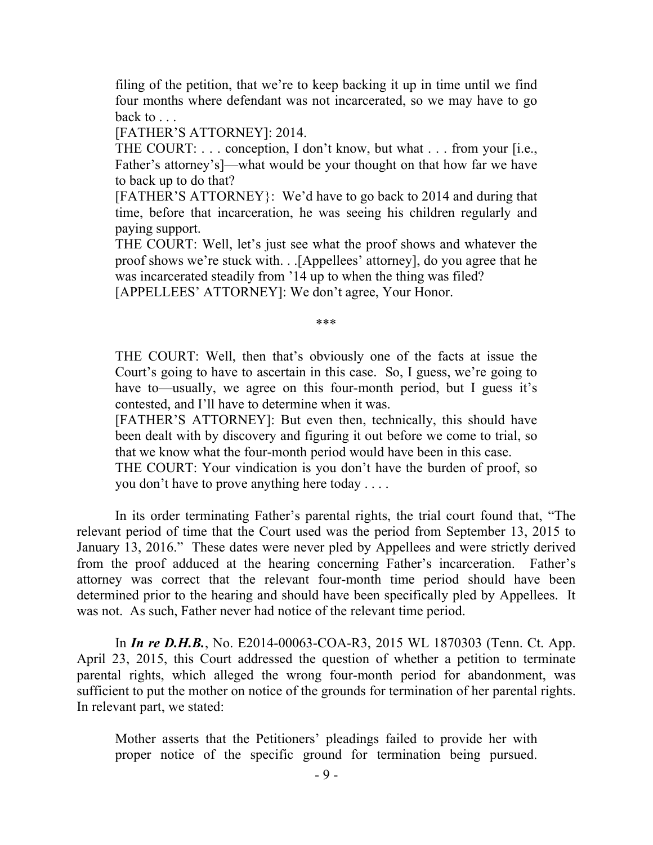filing of the petition, that we're to keep backing it up in time until we find four months where defendant was not incarcerated, so we may have to go back to . . .

[FATHER'S ATTORNEY]: 2014.

THE COURT: . . . conception, I don't know, but what . . . from your [i.e., Father's attorney's]—what would be your thought on that how far we have to back up to do that?

[FATHER'S ATTORNEY}: We'd have to go back to 2014 and during that time, before that incarceration, he was seeing his children regularly and paying support.

THE COURT: Well, let's just see what the proof shows and whatever the proof shows we're stuck with. . .[Appellees' attorney], do you agree that he was incarcerated steadily from '14 up to when the thing was filed?

[APPELLEES' ATTORNEY]: We don't agree, Your Honor.

#### \*\*\*

THE COURT: Well, then that's obviously one of the facts at issue the Court's going to have to ascertain in this case. So, I guess, we're going to have to—usually, we agree on this four-month period, but I guess it's contested, and I'll have to determine when it was.

[FATHER'S ATTORNEY]: But even then, technically, this should have been dealt with by discovery and figuring it out before we come to trial, so that we know what the four-month period would have been in this case.

THE COURT: Your vindication is you don't have the burden of proof, so you don't have to prove anything here today . . . .

In its order terminating Father's parental rights, the trial court found that, "The relevant period of time that the Court used was the period from September 13, 2015 to January 13, 2016." These dates were never pled by Appellees and were strictly derived from the proof adduced at the hearing concerning Father's incarceration. Father's attorney was correct that the relevant four-month time period should have been determined prior to the hearing and should have been specifically pled by Appellees. It was not. As such, Father never had notice of the relevant time period.

In *In re D.H.B.*, No. E2014-00063-COA-R3, 2015 WL 1870303 (Tenn. Ct. App. April 23, 2015, this Court addressed the question of whether a petition to terminate parental rights, which alleged the wrong four-month period for abandonment, was sufficient to put the mother on notice of the grounds for termination of her parental rights. In relevant part, we stated:

Mother asserts that the Petitioners' pleadings failed to provide her with proper notice of the specific ground for termination being pursued.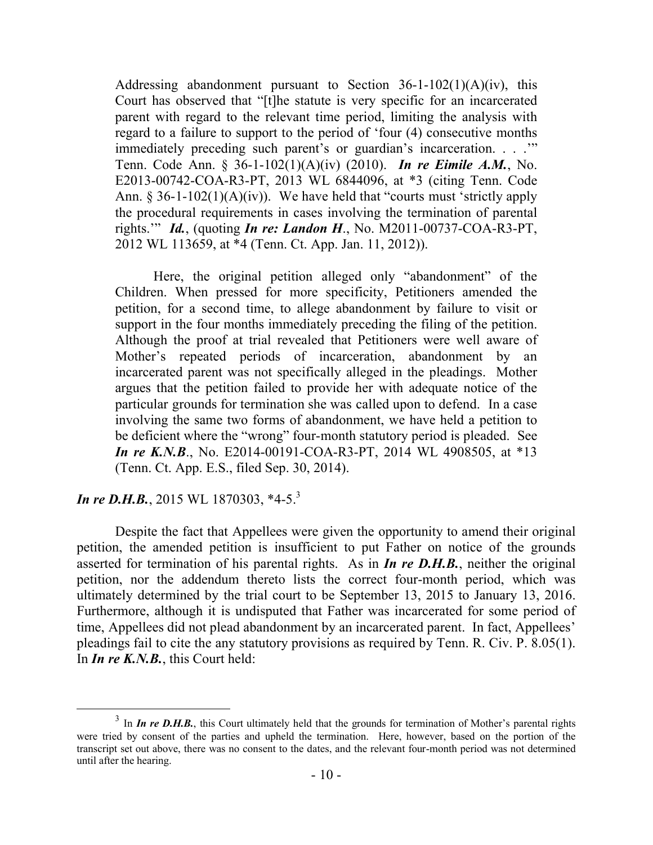Addressing abandonment pursuant to Section  $36-1-102(1)(A)(iv)$ , this Court has observed that "[t]he statute is very specific for an incarcerated parent with regard to the relevant time period, limiting the analysis with regard to a failure to support to the period of 'four (4) consecutive months immediately preceding such parent's or guardian's incarceration. . . .'" Tenn. Code Ann. § 36-1-102(1)(A)(iv) (2010). *In re Eimile A.M.*, No. E2013-00742-COA-R3-PT, 2013 WL 6844096, at \*3 (citing Tenn. Code Ann.  $\S 36$ -1-102(1)(A)(iv)). We have held that "courts must 'strictly apply the procedural requirements in cases involving the termination of parental rights.'" *Id.*, (quoting *In re: Landon H*., No. M2011-00737-COA-R3-PT, 2012 WL 113659, at \*4 (Tenn. Ct. App. Jan. 11, 2012)).

Here, the original petition alleged only "abandonment" of the Children. When pressed for more specificity, Petitioners amended the petition, for a second time, to allege abandonment by failure to visit or support in the four months immediately preceding the filing of the petition. Although the proof at trial revealed that Petitioners were well aware of Mother's repeated periods of incarceration, abandonment by an incarcerated parent was not specifically alleged in the pleadings. Mother argues that the petition failed to provide her with adequate notice of the particular grounds for termination she was called upon to defend. In a case involving the same two forms of abandonment, we have held a petition to be deficient where the "wrong" four-month statutory period is pleaded. See *In re K.N.B.*, No. E2014-00191-COA-R3-PT, 2014 WL 4908505, at \*13 (Tenn. Ct. App. E.S., filed Sep. 30, 2014).

## *In re D.H.B.*, 2015 WL 1870303, \*4-5.<sup>3</sup>

 $\overline{a}$ 

Despite the fact that Appellees were given the opportunity to amend their original petition, the amended petition is insufficient to put Father on notice of the grounds asserted for termination of his parental rights. As in *In re D.H.B.*, neither the original petition, nor the addendum thereto lists the correct four-month period, which was ultimately determined by the trial court to be September 13, 2015 to January 13, 2016. Furthermore, although it is undisputed that Father was incarcerated for some period of time, Appellees did not plead abandonment by an incarcerated parent. In fact, Appellees' pleadings fail to cite the any statutory provisions as required by Tenn. R. Civ. P. 8.05(1). In *In re K.N.B.*, this Court held:

<sup>&</sup>lt;sup>3</sup> In *In re D.H.B.*, this Court ultimately held that the grounds for termination of Mother's parental rights were tried by consent of the parties and upheld the termination. Here, however, based on the portion of the transcript set out above, there was no consent to the dates, and the relevant four-month period was not determined until after the hearing.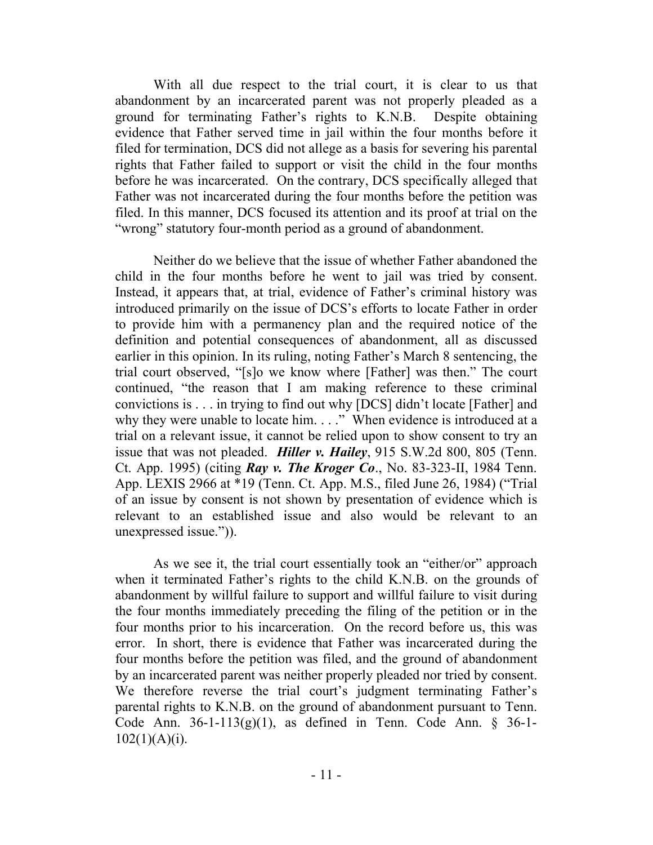With all due respect to the trial court, it is clear to us that abandonment by an incarcerated parent was not properly pleaded as a ground for terminating Father's rights to K.N.B. Despite obtaining evidence that Father served time in jail within the four months before it filed for termination, DCS did not allege as a basis for severing his parental rights that Father failed to support or visit the child in the four months before he was incarcerated. On the contrary, DCS specifically alleged that Father was not incarcerated during the four months before the petition was filed. In this manner, DCS focused its attention and its proof at trial on the "wrong" statutory four-month period as a ground of abandonment.

Neither do we believe that the issue of whether Father abandoned the child in the four months before he went to jail was tried by consent. Instead, it appears that, at trial, evidence of Father's criminal history was introduced primarily on the issue of DCS's efforts to locate Father in order to provide him with a permanency plan and the required notice of the definition and potential consequences of abandonment, all as discussed earlier in this opinion. In its ruling, noting Father's March 8 sentencing, the trial court observed, "[s]o we know where [Father] was then." The court continued, "the reason that I am making reference to these criminal convictions is . . . in trying to find out why [DCS] didn't locate [Father] and why they were unable to locate him. . . ." When evidence is introduced at a trial on a relevant issue, it cannot be relied upon to show consent to try an issue that was not pleaded. *Hiller v. Hailey*, 915 S.W.2d 800, 805 (Tenn. Ct. App. 1995) (citing *Ray v. The Kroger Co*., No. 83-323-II, 1984 Tenn. App. LEXIS 2966 at \*19 (Tenn. Ct. App. M.S., filed June 26, 1984) ("Trial of an issue by consent is not shown by presentation of evidence which is relevant to an established issue and also would be relevant to an unexpressed issue.")).

As we see it, the trial court essentially took an "either/or" approach when it terminated Father's rights to the child K.N.B. on the grounds of abandonment by willful failure to support and willful failure to visit during the four months immediately preceding the filing of the petition or in the four months prior to his incarceration. On the record before us, this was error. In short, there is evidence that Father was incarcerated during the four months before the petition was filed, and the ground of abandonment by an incarcerated parent was neither properly pleaded nor tried by consent. We therefore reverse the trial court's judgment terminating Father's parental rights to K.N.B. on the ground of abandonment pursuant to Tenn. Code Ann.  $36-1-113(g)(1)$ , as defined in Tenn. Code Ann. § 36-1- $102(1)(A)(i)$ .